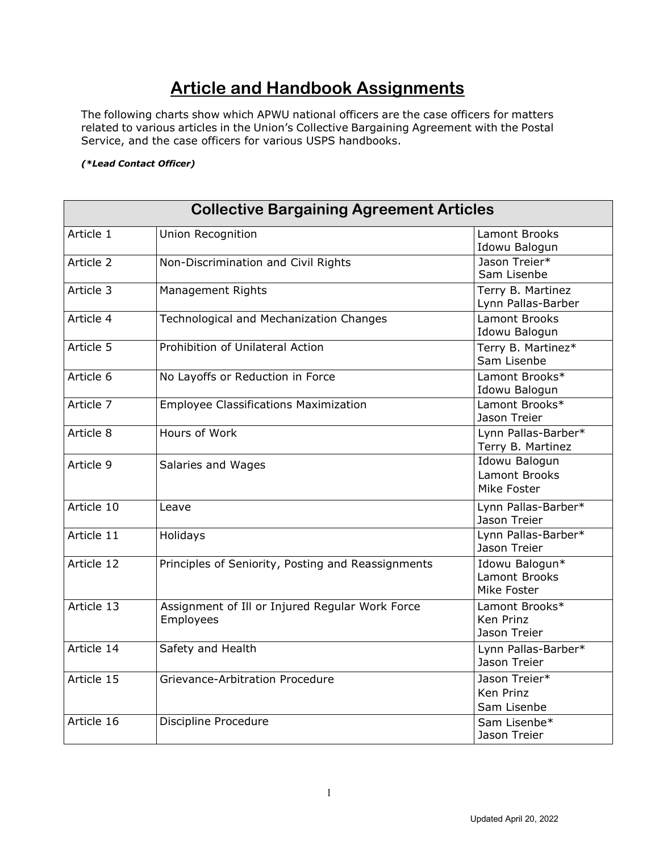## **Article and Handbook Assignments**

The following charts show which APWU national officers are the case officers for matters related to various articles in the Union's Collective Bargaining Agreement with the Postal Service, and the case officers for various USPS handbooks.

## *(\*Lead Contact Officer)*

| <b>Collective Bargaining Agreement Articles</b> |                                                              |                                                      |
|-------------------------------------------------|--------------------------------------------------------------|------------------------------------------------------|
| Article 1                                       | Union Recognition                                            | Lamont Brooks<br>Idowu Balogun                       |
| Article 2                                       | Non-Discrimination and Civil Rights                          | Jason Treier*<br>Sam Lisenbe                         |
| Article 3                                       | <b>Management Rights</b>                                     | Terry B. Martinez<br>Lynn Pallas-Barber              |
| Article 4                                       | Technological and Mechanization Changes                      | <b>Lamont Brooks</b><br>Idowu Balogun                |
| Article 5                                       | Prohibition of Unilateral Action                             | Terry B. Martinez*<br>Sam Lisenbe                    |
| Article 6                                       | No Layoffs or Reduction in Force                             | Lamont Brooks*<br>Idowu Balogun                      |
| Article 7                                       | <b>Employee Classifications Maximization</b>                 | Lamont Brooks*<br>Jason Treier                       |
| Article 8                                       | Hours of Work                                                | Lynn Pallas-Barber*<br>Terry B. Martinez             |
| Article 9                                       | Salaries and Wages                                           | Idowu Balogun<br><b>Lamont Brooks</b><br>Mike Foster |
| Article 10                                      | Leave                                                        | Lynn Pallas-Barber*<br>Jason Treier                  |
| Article 11                                      | Holidays                                                     | Lynn Pallas-Barber*<br>Jason Treier                  |
| Article 12                                      | Principles of Seniority, Posting and Reassignments           | Idowu Balogun*<br>Lamont Brooks<br>Mike Foster       |
| Article 13                                      | Assignment of Ill or Injured Regular Work Force<br>Employees | Lamont Brooks*<br>Ken Prinz<br>Jason Treier          |
| Article 14                                      | Safety and Health                                            | Lynn Pallas-Barber*<br>Jason Treier                  |
| Article 15                                      | Grievance-Arbitration Procedure                              | Jason Treier*<br>Ken Prinz<br>Sam Lisenbe            |
| Article 16                                      | Discipline Procedure                                         | Sam Lisenbe*<br>Jason Treier                         |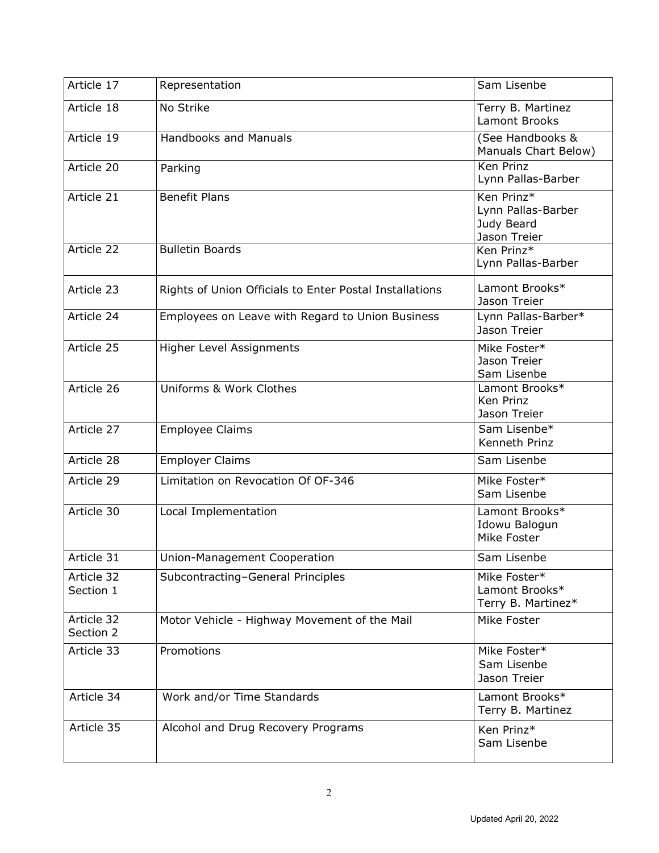| Article 17              | Representation                                          | Sam Lisenbe                                                    |
|-------------------------|---------------------------------------------------------|----------------------------------------------------------------|
| Article 18              | No Strike                                               | Terry B. Martinez<br>Lamont Brooks                             |
| Article 19              | <b>Handbooks and Manuals</b>                            | (See Handbooks &<br>Manuals Chart Below)                       |
| Article 20              | Parking                                                 | <b>Ken Prinz</b><br>Lynn Pallas-Barber                         |
| Article 21              | <b>Benefit Plans</b>                                    | Ken Prinz*<br>Lynn Pallas-Barber<br>Judy Beard<br>Jason Treier |
| Article 22              | <b>Bulletin Boards</b>                                  | Ken Prinz*<br>Lynn Pallas-Barber                               |
| Article 23              | Rights of Union Officials to Enter Postal Installations | Lamont Brooks*<br>Jason Treier                                 |
| Article 24              | Employees on Leave with Regard to Union Business        | Lynn Pallas-Barber*<br>Jason Treier                            |
| Article 25              | Higher Level Assignments                                | Mike Foster*<br>Jason Treier<br>Sam Lisenbe                    |
| Article 26              | Uniforms & Work Clothes                                 | Lamont Brooks*<br>Ken Prinz<br>Jason Treier                    |
| Article 27              | <b>Employee Claims</b>                                  | Sam Lisenbe*<br>Kenneth Prinz                                  |
| Article 28              | <b>Employer Claims</b>                                  | Sam Lisenbe                                                    |
| Article 29              | Limitation on Revocation Of OF-346                      | Mike Foster*<br>Sam Lisenbe                                    |
| Article 30              | Local Implementation                                    | Lamont Brooks*<br>Idowu Balogun<br>Mike Foster                 |
| Article 31              | Union-Management Cooperation                            | Sam Lisenbe                                                    |
| Article 32<br>Section 1 | Subcontracting-General Principles                       | Mike Foster*<br>Lamont Brooks*<br>Terry B. Martinez*           |
| Article 32<br>Section 2 | Motor Vehicle - Highway Movement of the Mail            | Mike Foster                                                    |
| Article 33              | Promotions                                              | Mike Foster*<br>Sam Lisenbe<br>Jason Treier                    |
| Article 34              | Work and/or Time Standards                              | Lamont Brooks*<br>Terry B. Martinez                            |
| Article 35              | Alcohol and Drug Recovery Programs                      | Ken Prinz*<br>Sam Lisenbe                                      |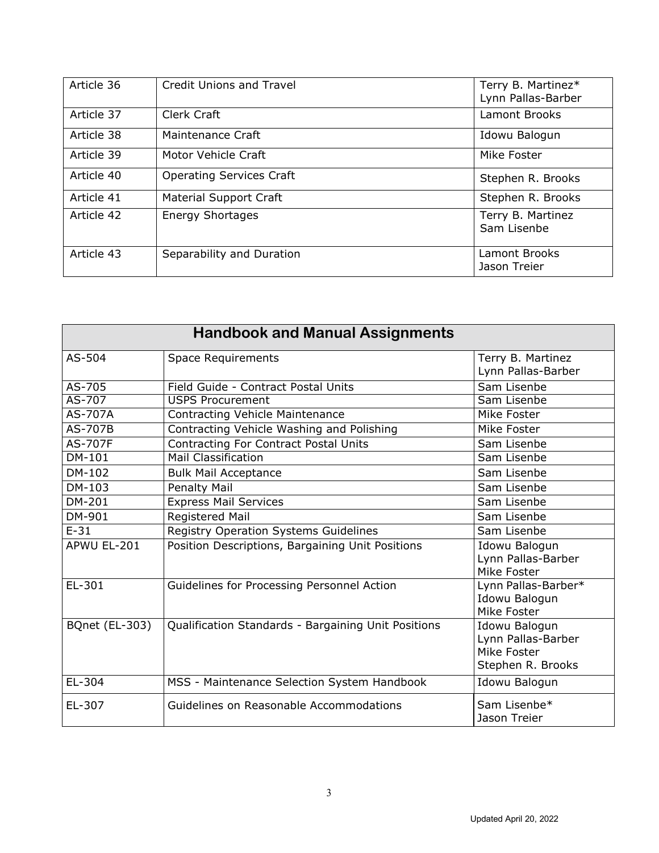| Article 36 | <b>Credit Unions and Travel</b> | Terry B. Martinez*<br>Lynn Pallas-Barber |
|------------|---------------------------------|------------------------------------------|
| Article 37 | Clerk Craft                     | Lamont Brooks                            |
| Article 38 | Maintenance Craft               | Idowu Balogun                            |
| Article 39 | Motor Vehicle Craft             | Mike Foster                              |
| Article 40 | <b>Operating Services Craft</b> | Stephen R. Brooks                        |
| Article 41 | <b>Material Support Craft</b>   | Stephen R. Brooks                        |
| Article 42 | <b>Energy Shortages</b>         | Terry B. Martinez<br>Sam Lisenbe         |
| Article 43 | Separability and Duration       | Lamont Brooks<br>Jason Treier            |

| <b>Handbook and Manual Assignments</b> |                                                     |                                                                         |
|----------------------------------------|-----------------------------------------------------|-------------------------------------------------------------------------|
| AS-504                                 | <b>Space Requirements</b>                           | Terry B. Martinez<br>Lynn Pallas-Barber                                 |
| $AS-705$                               | Field Guide - Contract Postal Units                 | Sam Lisenbe                                                             |
| AS-707                                 | <b>USPS Procurement</b>                             | Sam Lisenbe                                                             |
| AS-707A                                | <b>Contracting Vehicle Maintenance</b>              | Mike Foster                                                             |
| AS-707B                                | Contracting Vehicle Washing and Polishing           | Mike Foster                                                             |
| <b>AS-707F</b>                         | <b>Contracting For Contract Postal Units</b>        | Sam Lisenbe                                                             |
| DM-101                                 | <b>Mail Classification</b>                          | Sam Lisenbe                                                             |
| DM-102                                 | <b>Bulk Mail Acceptance</b>                         | Sam Lisenbe                                                             |
| DM-103                                 | Penalty Mail                                        | Sam Lisenbe                                                             |
| DM-201                                 | <b>Express Mail Services</b>                        | Sam Lisenbe                                                             |
| DM-901                                 | Registered Mail                                     | Sam Lisenbe                                                             |
| $E-31$                                 | Registry Operation Systems Guidelines               | Sam Lisenbe                                                             |
| APWU EL-201                            | Position Descriptions, Bargaining Unit Positions    | Idowu Balogun<br>Lynn Pallas-Barber<br>Mike Foster                      |
| EL-301                                 | Guidelines for Processing Personnel Action          | Lynn Pallas-Barber*<br>Idowu Balogun<br>Mike Foster                     |
| <b>BQnet (EL-303)</b>                  | Qualification Standards - Bargaining Unit Positions | Idowu Balogun<br>Lynn Pallas-Barber<br>Mike Foster<br>Stephen R. Brooks |
| EL-304                                 | MSS - Maintenance Selection System Handbook         | Idowu Balogun                                                           |
| EL-307                                 | Guidelines on Reasonable Accommodations             | Sam Lisenbe*<br>Jason Treier                                            |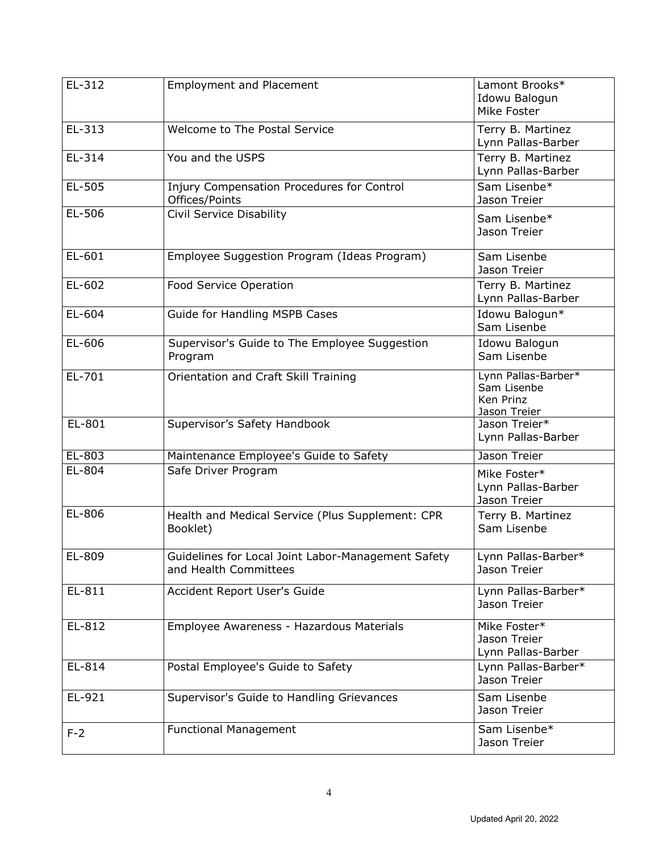| EL-312   | <b>Employment and Placement</b>                                             | Lamont Brooks*<br>Idowu Balogun<br>Mike Foster                  |
|----------|-----------------------------------------------------------------------------|-----------------------------------------------------------------|
| EL-313   | Welcome to The Postal Service                                               | Terry B. Martinez<br>Lynn Pallas-Barber                         |
| EL-314   | You and the USPS                                                            | Terry B. Martinez<br>Lynn Pallas-Barber                         |
| EL-505   | Injury Compensation Procedures for Control<br>Offices/Points                | Sam Lisenbe*<br>Jason Treier                                    |
| EL-506   | Civil Service Disability                                                    | Sam Lisenbe*<br>Jason Treier                                    |
| EL-601   | Employee Suggestion Program (Ideas Program)                                 | Sam Lisenbe<br>Jason Treier                                     |
| EL-602   | Food Service Operation                                                      | Terry B. Martinez<br>Lynn Pallas-Barber                         |
| EL-604   | Guide for Handling MSPB Cases                                               | Idowu Balogun*<br>Sam Lisenbe                                   |
| EL-606   | Supervisor's Guide to The Employee Suggestion<br>Program                    | Idowu Balogun<br>Sam Lisenbe                                    |
| EL-701   | Orientation and Craft Skill Training                                        | Lynn Pallas-Barber*<br>Sam Lisenbe<br>Ken Prinz<br>Jason Treier |
| EL-801   | Supervisor's Safety Handbook                                                | Jason Treier*<br>Lynn Pallas-Barber                             |
| $EL-803$ | Maintenance Employee's Guide to Safety                                      | Jason Treier                                                    |
| EL-804   | Safe Driver Program                                                         | Mike Foster*<br>Lynn Pallas-Barber<br>Jason Treier              |
| EL-806   | Health and Medical Service (Plus Supplement: CPR<br>Booklet)                | Terry B. Martinez<br>Sam Lisenbe                                |
| EL-809   | Guidelines for Local Joint Labor-Management Safety<br>and Health Committees | Lynn Pallas-Barber*<br>Jason Treier                             |
| EL-811   | Accident Report User's Guide                                                | Lynn Pallas-Barber*<br>Jason Treier                             |
| EL-812   | Employee Awareness - Hazardous Materials                                    | Mike Foster*<br>Jason Treier<br>Lynn Pallas-Barber              |
| EL-814   | Postal Employee's Guide to Safety                                           | Lynn Pallas-Barber*<br>Jason Treier                             |
| EL-921   | Supervisor's Guide to Handling Grievances                                   | Sam Lisenbe<br>Jason Treier                                     |
| $F-2$    | <b>Functional Management</b>                                                | Sam Lisenbe*<br>Jason Treier                                    |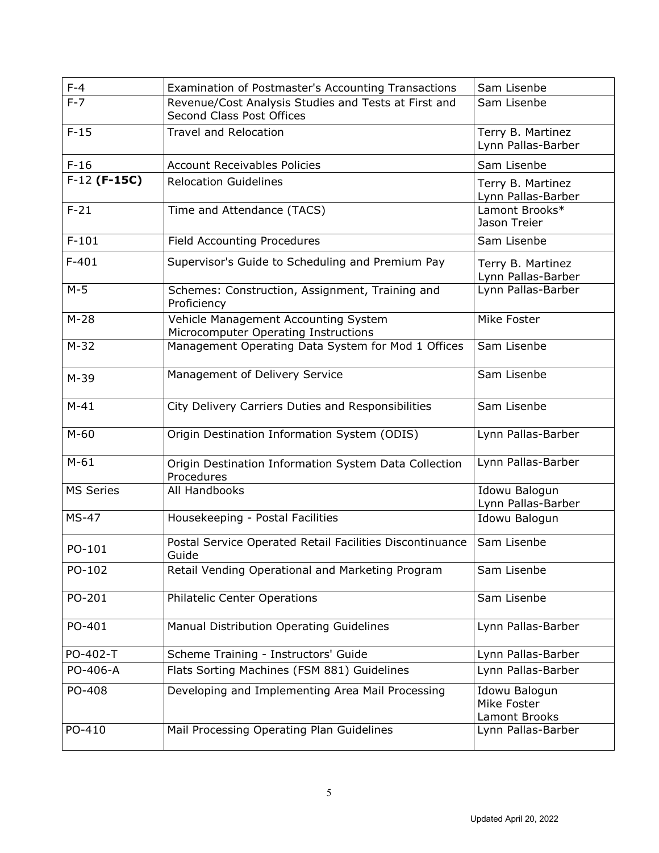| $F-4$            | Examination of Postmaster's Accounting Transactions                               | Sam Lisenbe                                   |
|------------------|-----------------------------------------------------------------------------------|-----------------------------------------------|
| $F-7$            | Revenue/Cost Analysis Studies and Tests at First and<br>Second Class Post Offices | Sam Lisenbe                                   |
| $F-15$           | <b>Travel and Relocation</b>                                                      | Terry B. Martinez<br>Lynn Pallas-Barber       |
| $F-16$           | <b>Account Receivables Policies</b>                                               | Sam Lisenbe                                   |
| $F-12$ (F-15C)   | <b>Relocation Guidelines</b>                                                      | Terry B. Martinez<br>Lynn Pallas-Barber       |
| $F-21$           | Time and Attendance (TACS)                                                        | Lamont Brooks*<br>Jason Treier                |
| $F-101$          | <b>Field Accounting Procedures</b>                                                | Sam Lisenbe                                   |
| $F-401$          | Supervisor's Guide to Scheduling and Premium Pay                                  | Terry B. Martinez<br>Lynn Pallas-Barber       |
| $M-5$            | Schemes: Construction, Assignment, Training and<br>Proficiency                    | Lynn Pallas-Barber                            |
| $M-28$           | Vehicle Management Accounting System<br>Microcomputer Operating Instructions      | Mike Foster                                   |
| $M-32$           | Management Operating Data System for Mod 1 Offices                                | Sam Lisenbe                                   |
| $M-39$           | Management of Delivery Service                                                    | Sam Lisenbe                                   |
| $M-41$           | City Delivery Carriers Duties and Responsibilities                                | Sam Lisenbe                                   |
| $M-60$           | Origin Destination Information System (ODIS)                                      | Lynn Pallas-Barber                            |
| $M-61$           | Origin Destination Information System Data Collection<br>Procedures               | Lynn Pallas-Barber                            |
| <b>MS Series</b> | All Handbooks                                                                     | Idowu Balogun<br>Lynn Pallas-Barber           |
| <b>MS-47</b>     | Housekeeping - Postal Facilities                                                  | Idowu Balogun                                 |
| PO-101           | Postal Service Operated Retail Facilities Discontinuance<br>Guide                 | Sam Lisenbe                                   |
| PO-102           | Retail Vending Operational and Marketing Program                                  | Sam Lisenbe                                   |
| PO-201           | <b>Philatelic Center Operations</b>                                               | Sam Lisenbe                                   |
| PO-401           | Manual Distribution Operating Guidelines                                          | Lynn Pallas-Barber                            |
| PO-402-T         | Scheme Training - Instructors' Guide                                              | Lynn Pallas-Barber                            |
| PO-406-A         | Flats Sorting Machines (FSM 881) Guidelines                                       | Lynn Pallas-Barber                            |
| PO-408           | Developing and Implementing Area Mail Processing                                  | Idowu Balogun<br>Mike Foster<br>Lamont Brooks |
| PO-410           | Mail Processing Operating Plan Guidelines                                         | Lynn Pallas-Barber                            |